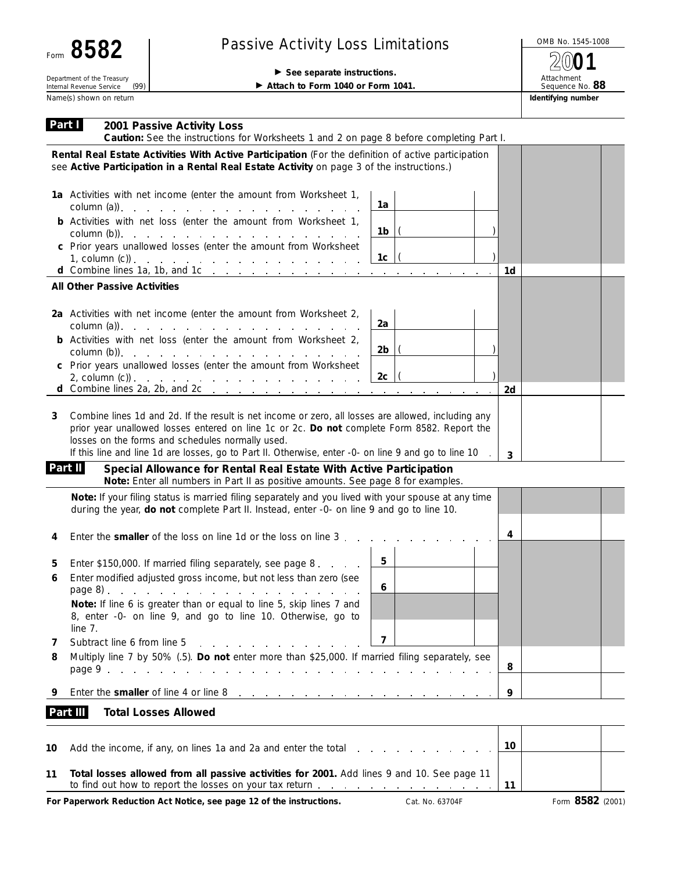| Form                                                   | 8582 |  |  |  |  |  |  |
|--------------------------------------------------------|------|--|--|--|--|--|--|
| Department of the Treasury<br>Internal Revenue Service |      |  |  |  |  |  |  |
| Name(s) shown on return                                |      |  |  |  |  |  |  |

## Passive Activity Loss Limitations  $\sqrt{ }$  OMB No. 1545-1008

## See separate instructions.

Attach to Form 1040 or Form 1041.

Attachment Sequence No. **88 Identifying number 2001**

| Part I   | 2001 Passive Activity Loss<br>Caution: See the instructions for Worksheets 1 and 2 on page 8 before completing Part I.                                                                                                                                                                                                                                          |                         |
|----------|-----------------------------------------------------------------------------------------------------------------------------------------------------------------------------------------------------------------------------------------------------------------------------------------------------------------------------------------------------------------|-------------------------|
|          | Rental Real Estate Activities With Active Participation (For the definition of active participation<br>see Active Participation in a Rental Real Estate Activity on page 3 of the instructions.)                                                                                                                                                                |                         |
|          | 1a Activities with net income (enter the amount from Worksheet 1,<br>$\text{column (a)}$ .                                                                                                                                                                                                                                                                      | 1a                      |
|          | <b>b</b> Activities with net loss (enter the amount from Worksheet 1,<br>$\text{column (b)}$ .                                                                                                                                                                                                                                                                  | $1b$  (                 |
|          | c Prior years unallowed losses (enter the amount from Worksheet<br>1, column (c)) $\ldots$ $\ldots$ $\ldots$ $\ldots$ $\ldots$ $\ldots$ $\ldots$ $\ldots$                                                                                                                                                                                                       | $1c$  (<br>1d           |
|          | <b>All Other Passive Activities</b>                                                                                                                                                                                                                                                                                                                             |                         |
|          | 2a Activities with net income (enter the amount from Worksheet 2,                                                                                                                                                                                                                                                                                               | 2a                      |
|          | <b>b</b> Activities with net loss (enter the amount from Worksheet 2,                                                                                                                                                                                                                                                                                           | $2b$  (                 |
|          | c Prior years unallowed losses (enter the amount from Worksheet<br>2, column $(c)$ ).<br>d Combine lines 2a, 2b, and 2c $\ldots$ $\ldots$ $\ldots$ $\ldots$ $\ldots$                                                                                                                                                                                            | $2c$  (                 |
|          |                                                                                                                                                                                                                                                                                                                                                                 | 2d                      |
| 3        | Combine lines 1d and 2d. If the result is net income or zero, all losses are allowed, including any<br>prior year unallowed losses entered on line 1c or 2c. Do not complete Form 8582. Report the<br>losses on the forms and schedules normally used.<br>If this line and line 1d are losses, go to Part II. Otherwise, enter -0- on line 9 and go to line 10. | 3                       |
| Part II  | Special Allowance for Rental Real Estate With Active Participation<br>Note: Enter all numbers in Part II as positive amounts. See page 8 for examples.                                                                                                                                                                                                          |                         |
|          | Note: If your filing status is married filing separately and you lived with your spouse at any time<br>during the year, do not complete Part II. Instead, enter -0- on line 9 and go to line 10.                                                                                                                                                                |                         |
| 4        | Enter the <b>smaller</b> of the loss on line 1d or the loss on line 3.                                                                                                                                                                                                                                                                                          | 4                       |
| 5        | Enter \$150,000. If married filing separately, see page 8.                                                                                                                                                                                                                                                                                                      | 5                       |
| 6        | Enter modified adjusted gross income, but not less than zero (see                                                                                                                                                                                                                                                                                               | 6                       |
|          | Note: If line 6 is greater than or equal to line 5, skip lines 7 and<br>8, enter -0- on line 9, and go to line 10. Otherwise, go to<br>line 7.                                                                                                                                                                                                                  |                         |
| 7        | Subtract line 6 from line 5<br>the contract of the contract of the contract of the contract of the contract of the contract of the contract of                                                                                                                                                                                                                  | $\overline{\mathbf{z}}$ |
| 8        | Multiply line 7 by 50% (.5). Do not enter more than \$25,000. If married filing separately, see                                                                                                                                                                                                                                                                 | 8                       |
| 9        | Enter the smaller of line 4 or line 8<br>the contract of the contract of the contract of the contract of the contract of                                                                                                                                                                                                                                        | 9                       |
| Part III | <b>Total Losses Allowed</b>                                                                                                                                                                                                                                                                                                                                     |                         |
| 10       | Add the income, if any, on lines 1a and 2a and enter the total                                                                                                                                                                                                                                                                                                  | 10                      |

| Total losses allowed from all passive activities for 2001. Add lines 9 and 10. See page 11 |  |
|--------------------------------------------------------------------------------------------|--|
| to find out how to report the losses on your tax return                                    |  |

**For Paperwork Reduction Act Notice, see page 12 of the instructions.** Cat. No. 63704F Form 8582 (2001)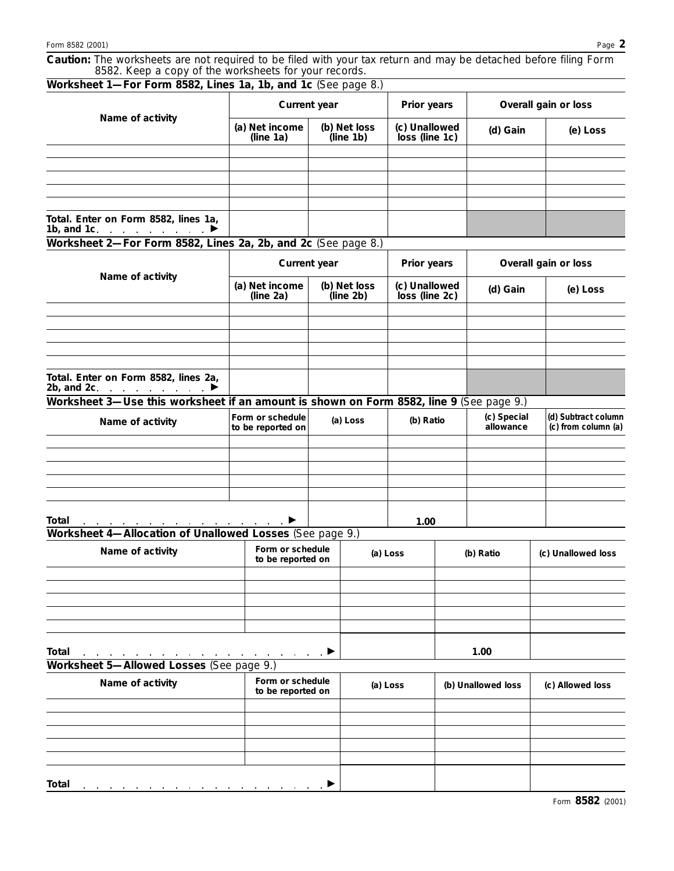| Form 8582 (2001)<br>Caution: The worksheets are not required to be filed with your tax return and may be detached before filing Form |  |                                       |          |                                                              |                                 |                    |                          |                    | Page 2                                     |  |  |
|--------------------------------------------------------------------------------------------------------------------------------------|--|---------------------------------------|----------|--------------------------------------------------------------|---------------------------------|--------------------|--------------------------|--------------------|--------------------------------------------|--|--|
| 8582. Keep a copy of the worksheets for your records.<br>Worksheet 1-For Form 8582, Lines 1a, 1b, and 1c (See page 8.)               |  |                                       |          |                                                              |                                 |                    |                          |                    |                                            |  |  |
|                                                                                                                                      |  | Current year                          |          |                                                              | Prior years                     |                    | Overall gain or loss     |                    |                                            |  |  |
| Name of activity                                                                                                                     |  | (a) Net income<br>(line 1a)           |          | (b) Net loss<br>(c) Unallowed<br>loss (line 1c)<br>(line 1b) |                                 |                    | (d) Gain                 |                    | (e) Loss                                   |  |  |
|                                                                                                                                      |  |                                       |          |                                                              |                                 |                    |                          |                    |                                            |  |  |
|                                                                                                                                      |  |                                       |          |                                                              |                                 |                    |                          |                    |                                            |  |  |
| Total. Enter on Form 8582, lines 1a,                                                                                                 |  |                                       |          |                                                              |                                 |                    |                          |                    |                                            |  |  |
| 1b, and 1c. $\qquad \qquad \blacksquare$<br>Worksheet 2-For Form 8582, Lines 2a, 2b, and 2c (See page 8.)                            |  |                                       |          |                                                              |                                 |                    |                          |                    |                                            |  |  |
|                                                                                                                                      |  | Current year                          |          |                                                              | Prior years                     |                    | Overall gain or loss     |                    |                                            |  |  |
| Name of activity                                                                                                                     |  | (a) Net income<br>(line 2a)           |          | (b) Net loss<br>(line 2b)                                    | (c) Unallowed<br>loss (line 2c) |                    | (d) Gain                 |                    | (e) Loss                                   |  |  |
|                                                                                                                                      |  |                                       |          |                                                              |                                 |                    |                          |                    |                                            |  |  |
|                                                                                                                                      |  |                                       |          |                                                              |                                 |                    |                          |                    |                                            |  |  |
| Total. Enter on Form 8582, lines 2a,<br>2b, and 2c.                                                                                  |  |                                       |          |                                                              |                                 |                    |                          |                    |                                            |  |  |
| Worksheet 3-Use this worksheet if an amount is shown on Form 8582, line 9 (See page 9.)<br>Name of activity                          |  | Form or schedule<br>to be reported on | (a) Loss |                                                              | (b) Ratio                       |                    | (c) Special<br>allowance |                    | (d) Subtract column<br>(c) from column (a) |  |  |
|                                                                                                                                      |  |                                       |          |                                                              |                                 |                    |                          |                    |                                            |  |  |
|                                                                                                                                      |  |                                       |          |                                                              |                                 |                    |                          |                    |                                            |  |  |
|                                                                                                                                      |  |                                       |          |                                                              |                                 |                    |                          |                    |                                            |  |  |
| Total<br>Worksheet 4-Allocation of Unallowed Losses (See page 9.)                                                                    |  |                                       |          |                                                              | 1.00                            |                    |                          |                    |                                            |  |  |
| Name of activity                                                                                                                     |  | Form or schedule<br>to be reported on |          | (a) Loss                                                     |                                 | (b) Ratio          |                          | (c) Unallowed loss |                                            |  |  |
|                                                                                                                                      |  |                                       |          |                                                              |                                 |                    |                          |                    |                                            |  |  |
|                                                                                                                                      |  |                                       |          |                                                              |                                 |                    |                          |                    |                                            |  |  |
|                                                                                                                                      |  |                                       |          |                                                              |                                 |                    |                          |                    |                                            |  |  |
| Total<br>Worksheet 5-Allowed Losses (See page 9.)                                                                                    |  | <b>Contract Contract</b>              |          |                                                              |                                 |                    | 1.00                     |                    |                                            |  |  |
| Name of activity                                                                                                                     |  | Form or schedule<br>to be reported on |          | (a) Loss                                                     |                                 | (b) Unallowed loss |                          | (c) Allowed loss   |                                            |  |  |
|                                                                                                                                      |  |                                       |          |                                                              |                                 |                    |                          |                    |                                            |  |  |
|                                                                                                                                      |  |                                       |          |                                                              |                                 |                    |                          |                    |                                            |  |  |

**Total**